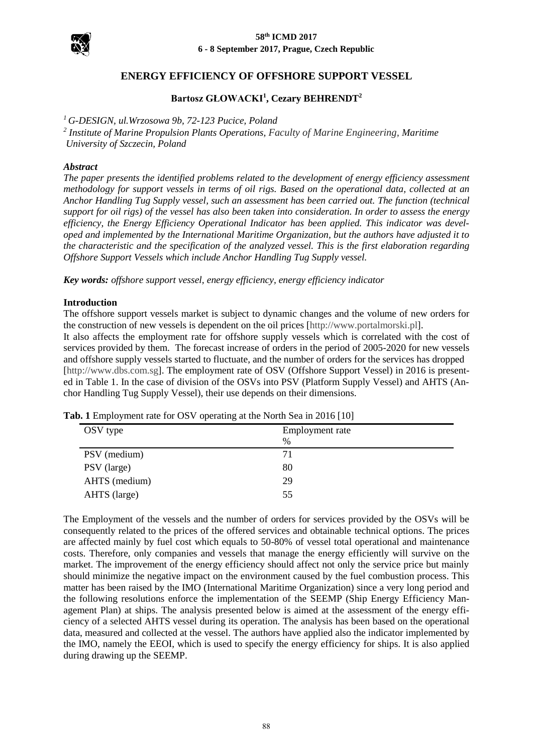



## **ENERGY EFFICIENCY OF OFFSHORE SUPPORT VESSEL**

## **Bartosz GŁOWACKI<sup>1</sup> , Cezary BEHRENDT<sup>2</sup>**

*<sup>1</sup> G-DESIGN, ul.Wrzosowa 9b, 72-123 Pucice, Poland*

*2 Institute of Marine Propulsion Plants Operations, Faculty of Marine Engineering, Maritime University of Szczecin, Poland* 

#### *Abstract*

*The paper presents the identified problems related to the development of energy efficiency assessment methodology for support vessels in terms of oil rigs. Based on the operational data, collected at an Anchor Handling Tug Supply vessel, such an assessment has been carried out. The function (technical support for oil rigs) of the vessel has also been taken into consideration. In order to assess the energy efficiency, the Energy Efficiency Operational Indicator has been applied. This indicator was developed and implemented by the International Maritime Organization, but the authors have adjusted it to the characteristic and the specification of the analyzed vessel. This is the first elaboration regarding Offshore Support Vessels which include Anchor Handling Tug Supply vessel.*

*Key words: offshore support vessel, energy efficiency, energy efficiency indicator*

#### **Introduction**

The offshore support vessels market is subject to dynamic changes and the volume of new orders for the construction of new vessels is dependent on the oil prices [\[http://www.portalmorski.pl\]](http://www.portalmorski.pl/offshore/31147-jak-bardzo-zle-jest-na-rynku-offshore).

It also affects the employment rate for offshore supply vessels which is correlated with the cost of services provided by them. The forecast increase of orders in the period of 2005-2020 for new vessels and offshore supply vessels started to fluctuate, and the number of orders for the services has dropped [\[http://www.dbs.com.sg\]](http://www.dbs.com.sg/). The employment rate of OSV (Offshore Support Vessel) in 2016 is presented in Table 1. In the case of division of the OSVs into PSV (Platform Supply Vessel) and AHTS (Anchor Handling Tug Supply Vessel), their use depends on their dimensions.

| OSV type      | Employment rate |  |  |  |
|---------------|-----------------|--|--|--|
|               | $\%$            |  |  |  |
| PSV (medium)  | 71              |  |  |  |
| PSV (large)   | 80              |  |  |  |
| AHTS (medium) | 29              |  |  |  |
| AHTS (large)  | 55              |  |  |  |

**Tab. 1** Employment rate for OSV operating at the North Sea in 2016 [10]

The Employment of the vessels and the number of orders for services provided by the OSVs will be consequently related to the prices of the offered services and obtainable technical options. The prices are affected mainly by fuel cost which equals to 50-80% of vessel total operational and maintenance costs. Therefore, only companies and vessels that manage the energy efficiently will survive on the market. The improvement of the energy efficiency should affect not only the service price but mainly should minimize the negative impact on the environment caused by the fuel combustion process. This matter has been raised by the IMO (International Maritime Organization) since a very long period and the following resolutions enforce the implementation of the SEEMP (Ship Energy Efficiency Management Plan) at ships. The analysis presented below is aimed at the assessment of the energy efficiency of a selected AHTS vessel during its operation. The analysis has been based on the operational data, measured and collected at the vessel. The authors have applied also the indicator implemented by the IMO, namely the EEOI, which is used to specify the energy efficiency for ships. It is also applied during drawing up the SEEMP.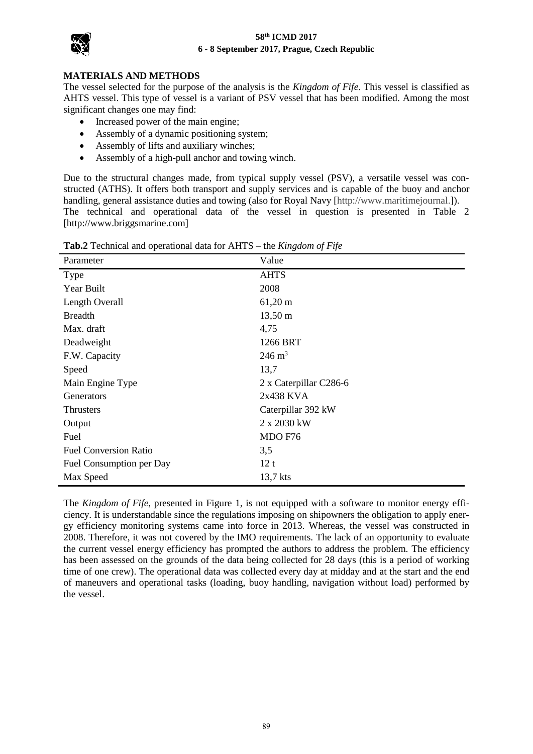#### **58th ICMD 2017 6 - 8 September 2017, Prague, Czech Republic**



## **MATERIALS AND METHODS**

The vessel selected for the purpose of the analysis is the *Kingdom of Fife*. This vessel is classified as AHTS vessel. This type of vessel is a variant of PSV vessel that has been modified. Among the most significant changes one may find:

- Increased power of the main engine;
- Assembly of a dynamic positioning system;
- Assembly of lifts and auxiliary winches;
- Assembly of a high-pull anchor and towing winch.

Due to the structural changes made, from typical supply vessel (PSV), a versatile vessel was constructed (ATHS). It offers both transport and supply services and is capable of the buoy and anchor handling, general assistance duties and towing (also for Royal Navy [\[http://www.maritimejournal.\]](http://www.maritimejournal.com/news101/vessel-build-and-maintenance/vessel-launch/briggs%20_raises_its_game_with_three_new_vessels)). The technical and operational data of the vessel in question is presented in Table 2 [http://www.briggsmarine.com]

| Parameter                    | Value                  |
|------------------------------|------------------------|
| Type                         | <b>AHTS</b>            |
| Year Built                   | 2008                   |
| Length Overall               | $61,20 \text{ m}$      |
| <b>Breadth</b>               | $13,50 \text{ m}$      |
| Max. draft                   | 4,75                   |
| Deadweight                   | 1266 BRT               |
| F.W. Capacity                | $246 \text{ m}^3$      |
| Speed                        | 13,7                   |
| Main Engine Type             | 2 x Caterpillar C286-6 |
| Generators                   | 2x438 KVA              |
| <b>Thrusters</b>             | Caterpillar 392 kW     |
| Output                       | 2 x 2030 kW            |
| Fuel                         | MDO F76                |
| <b>Fuel Conversion Ratio</b> | 3,5                    |
| Fuel Consumption per Day     | 12t                    |
| Max Speed                    | 13,7 kts               |

**Tab.2** Technical and operational data for AHTS – the *Kingdom of Fife*

The *Kingdom of Fife*, presented in Figure 1, is not equipped with a software to monitor energy efficiency. It is understandable since the regulations imposing on shipowners the obligation to apply energy efficiency monitoring systems came into force in 2013. Whereas, the vessel was constructed in 2008. Therefore, it was not covered by the IMO requirements. The lack of an opportunity to evaluate the current vessel energy efficiency has prompted the authors to address the problem. The efficiency has been assessed on the grounds of the data being collected for 28 days (this is a period of working time of one crew). The operational data was collected every day at midday and at the start and the end of maneuvers and operational tasks (loading, buoy handling, navigation without load) performed by the vessel.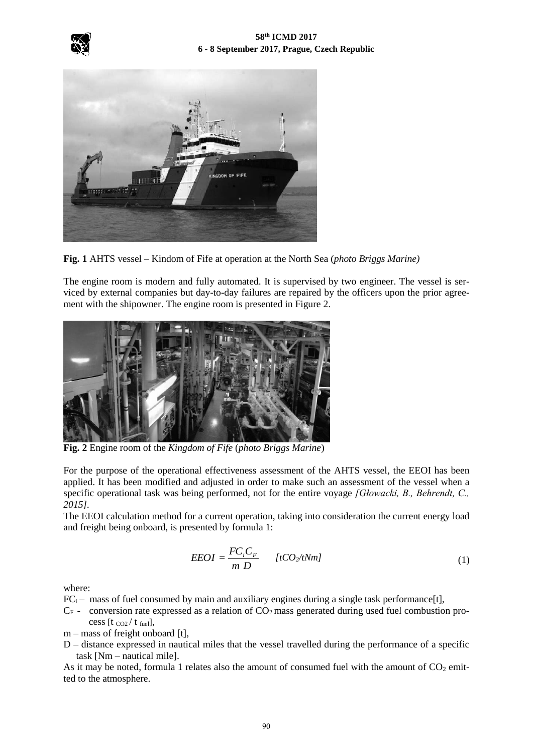





**Fig. 1** AHTS vessel – Kindom of Fife at operation at the North Sea (*photo Briggs Marine)*

The engine room is modern and fully automated. It is supervised by two engineer. The vessel is serviced by external companies but day-to-day failures are repaired by the officers upon the prior agreement with the shipowner. The engine room is presented in Figure 2.



**Fig. 2** Engine room of the *Kingdom of Fife* (*photo Briggs Marine*)

For the purpose of the operational effectiveness assessment of the AHTS vessel, the EEOI has been applied. It has been modified and adjusted in order to make such an assessment of the vessel when a specific operational task was being performed, not for the entire voyage *[Głowacki, B., Behrendt, C., 2015].*

The EEOI calculation method for a current operation, taking into consideration the current energy load and freight being onboard, is presented by formula 1:

$$
EEOI = \frac{FC_iC_F}{m D} \qquad [tCO_2/tNm]
$$
\n(1)

where:

 $FC_i$  – mass of fuel consumed by main and auxiliary engines during a single task performance [t],

 $C_F$  - conversion rate expressed as a relation of  $CO_2$  mass generated during used fuel combustion process [t  $_{CO2}/t$  fuel],

m – mass of freight onboard [t],

D – distance expressed in nautical miles that the vessel travelled during the performance of a specific task [Nm – nautical mile].

As it may be noted, formula 1 relates also the amount of consumed fuel with the amount of  $CO<sub>2</sub>$  emitted to the atmosphere.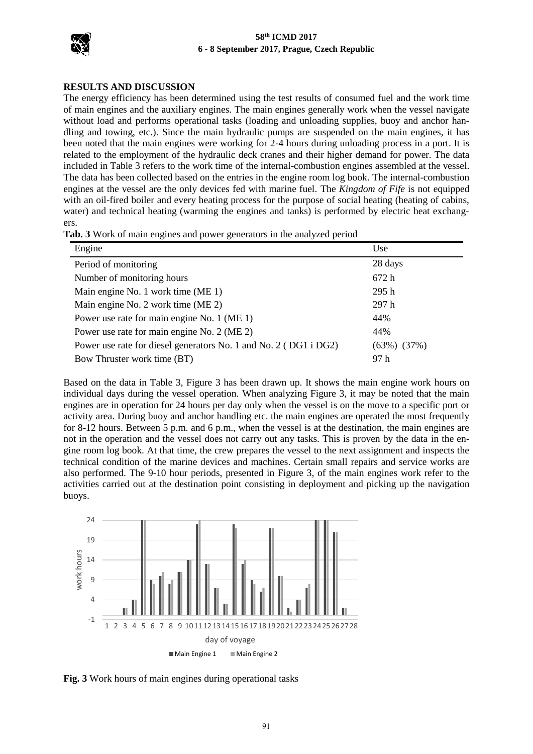

#### **58th ICMD 2017 6 - 8 September 2017, Prague, Czech Republic**

### **RESULTS AND DISCUSSION**

The energy efficiency has been determined using the test results of consumed fuel and the work time of main engines and the auxiliary engines. The main engines generally work when the vessel navigate without load and performs operational tasks (loading and unloading supplies, buoy and anchor handling and towing, etc.). Since the main hydraulic pumps are suspended on the main engines, it has been noted that the main engines were working for 2-4 hours during unloading process in a port. It is related to the employment of the hydraulic deck cranes and their higher demand for power. The data included in Table 3 refers to the work time of the internal-combustion engines assembled at the vessel. The data has been collected based on the entries in the engine room log book. The internal-combustion engines at the vessel are the only devices fed with marine fuel. The *Kingdom of Fife* is not equipped with an oil-fired boiler and every heating process for the purpose of social heating (heating of cabins, water) and technical heating (warming the engines and tanks) is performed by electric heat exchangers.

| Engine                                                           | Use            |
|------------------------------------------------------------------|----------------|
| Period of monitoring                                             | 28 days        |
| Number of monitoring hours                                       | 672h           |
| Main engine No. 1 work time (ME 1)                               | 295h           |
| Main engine No. 2 work time (ME 2)                               | 297h           |
| Power use rate for main engine No. 1 (ME 1)                      | 44%            |
| Power use rate for main engine No. 2 (ME 2)                      | 44%            |
| Power use rate for diesel generators No. 1 and No. 2 (DG1 i DG2) | (37%)<br>(63%) |
| Bow Thruster work time (BT)                                      | 97 h           |

Based on the data in Table 3, Figure 3 has been drawn up. It shows the main engine work hours on individual days during the vessel operation. When analyzing Figure 3, it may be noted that the main engines are in operation for 24 hours per day only when the vessel is on the move to a specific port or activity area. During buoy and anchor handling etc. the main engines are operated the most frequently for 8-12 hours. Between 5 p.m. and 6 p.m., when the vessel is at the destination, the main engines are not in the operation and the vessel does not carry out any tasks. This is proven by the data in the engine room log book. At that time, the crew prepares the vessel to the next assignment and inspects the technical condition of the marine devices and machines. Certain small repairs and service works are also performed. The 9-10 hour periods, presented in Figure 3, of the main engines work refer to the activities carried out at the destination point consisting in deployment and picking up the navigation buoys.



**Fig. 3** Work hours of main engines during operational tasks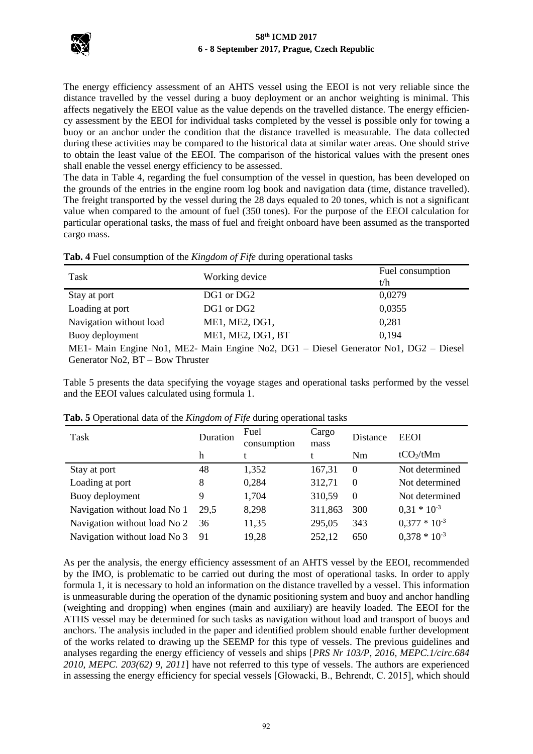

The energy efficiency assessment of an AHTS vessel using the EEOI is not very reliable since the distance travelled by the vessel during a buoy deployment or an anchor weighting is minimal. This affects negatively the EEOI value as the value depends on the travelled distance. The energy efficiency assessment by the EEOI for individual tasks completed by the vessel is possible only for towing a buoy or an anchor under the condition that the distance travelled is measurable. The data collected during these activities may be compared to the historical data at similar water areas. One should strive to obtain the least value of the EEOI. The comparison of the historical values with the present ones shall enable the vessel energy efficiency to be assessed.

The data in Table 4, regarding the fuel consumption of the vessel in question, has been developed on the grounds of the entries in the engine room log book and navigation data (time, distance travelled). The freight transported by the vessel during the 28 days equaled to 20 tones, which is not a significant value when compared to the amount of fuel (350 tones). For the purpose of the EEOI calculation for particular operational tasks, the mass of fuel and freight onboard have been assumed as the transported cargo mass.

|  | Tab. 4 Fuel consumption of the Kingdom of Fife during operational tasks |  |  |  |  |  |  |
|--|-------------------------------------------------------------------------|--|--|--|--|--|--|
|--|-------------------------------------------------------------------------|--|--|--|--|--|--|

| Task                                                                                 | Working device    | Fuel consumption |  |  |  |
|--------------------------------------------------------------------------------------|-------------------|------------------|--|--|--|
|                                                                                      |                   | t/h              |  |  |  |
| Stay at port                                                                         | DG1 or DG2        | 0,0279           |  |  |  |
| Loading at port                                                                      | DG1 or DG2        | 0,0355           |  |  |  |
| Navigation without load                                                              | ME1, ME2, DG1,    | 0,281            |  |  |  |
| Buoy deployment                                                                      | ME1, ME2, DG1, BT | 0.194            |  |  |  |
| ME1- Main Engine No1, ME2- Main Engine No2, DG1 – Diesel Generator No1, DG2 – Diesel |                   |                  |  |  |  |
| Generator No2, $BT - Bow$ Thruster                                                   |                   |                  |  |  |  |

Table 5 presents the data specifying the voyage stages and operational tasks performed by the vessel and the EEOI values calculated using formula 1.

| Task                         | Duration | Fuel<br>consumption | Cargo<br>mass | Distance | <b>EEOI</b>       |
|------------------------------|----------|---------------------|---------------|----------|-------------------|
|                              | h        |                     |               | Nm       | $tCO_2/tMm$       |
| Stay at port                 | 48       | 1,352               | 167,31        | $\Omega$ | Not determined    |
| Loading at port              | 8        | 0,284               | 312,71        | $\theta$ | Not determined    |
| Buoy deployment              |          | 1,704               | 310,59        | $\Omega$ | Not determined    |
| Navigation without load No 1 | 29.5     | 8,298               | 311,863       | 300      | $0.31 * 10^{-3}$  |
| Navigation without load No 2 | 36       | 11,35               | 295,05        | 343      | $0,377 * 10^{-3}$ |
| Navigation without load No 3 | 91       | 19,28               | 252,12        | 650      | $0,378 * 10^{-3}$ |

**Tab. 5** Operational data of the *Kingdom of Fife* during operational tasks

As per the analysis, the energy efficiency assessment of an AHTS vessel by the EEOI, recommended by the IMO, is problematic to be carried out during the most of operational tasks. In order to apply formula 1, it is necessary to hold an information on the distance travelled by a vessel. This information is unmeasurable during the operation of the dynamic positioning system and buoy and anchor handling (weighting and dropping) when engines (main and auxiliary) are heavily loaded. The EEOI for the ATHS vessel may be determined for such tasks as navigation without load and transport of buoys and anchors. The analysis included in the paper and identified problem should enable further development of the works related to drawing up the SEEMP for this type of vessels. The previous guidelines and analyses regarding the energy efficiency of vessels and ships [*PRS Nr 103/P, 2016, MEPC.1/circ.684 2010, MEPC. 203(62) 9, 2011*] have not referred to this type of vessels. The authors are experienced in assessing the energy efficiency for special vessels [Głowacki, B., Behrendt, C. 2015], which should